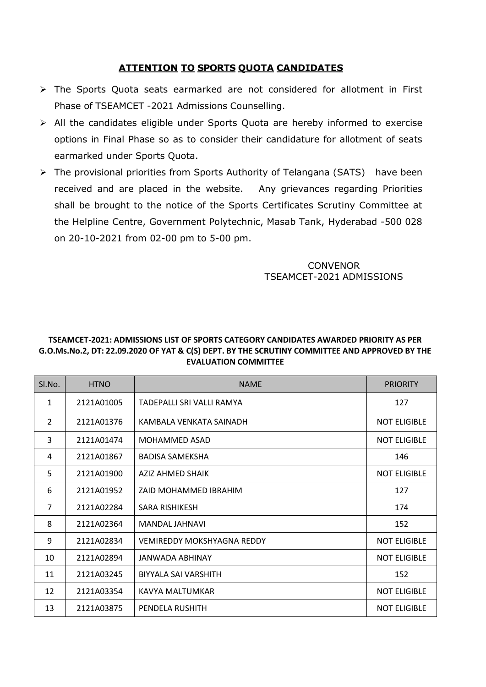## **ATTENTION TO SPORTS QUOTA CANDIDATES**

- The Sports Quota seats earmarked are not considered for allotment in First Phase of TSEAMCET -2021 Admissions Counselling.
- All the candidates eligible under Sports Quota are hereby informed to exercise options in Final Phase so as to consider their candidature for allotment of seats earmarked under Sports Quota.
- $\triangleright$  The provisional priorities from Sports Authority of Telangana (SATS) have been received and are placed in the website. Any grievances regarding Priorities shall be brought to the notice of the Sports Certificates Scrutiny Committee at the Helpline Centre, Government Polytechnic, Masab Tank, Hyderabad -500 028 on 20-10-2021 from 02-00 pm to 5-00 pm.

## **CONVENOR** TSEAMCET-2021 ADMISSIONS

## **TSEAMCET-2021: ADMISSIONS LIST OF SPORTS CATEGORY CANDIDATES AWARDED PRIORITY AS PER G.O.Ms.No.2, DT: 22.09.2020 OF YAT & C(S) DEPT. BY THE SCRUTINY COMMITTEE AND APPROVED BY THE EVALUATION COMMITTEE**

| SI.No.         | <b>HTNO</b> | <b>NAME</b>                       | <b>PRIORITY</b>     |
|----------------|-------------|-----------------------------------|---------------------|
| $\mathbf{1}$   | 2121A01005  | TADEPALLI SRI VALLI RAMYA         | 127                 |
| 2              | 2121A01376  | KAMBALA VENKATA SAINADH           | <b>NOT ELIGIBLE</b> |
| 3              | 2121A01474  | <b>MOHAMMED ASAD</b>              | <b>NOT ELIGIBLE</b> |
| 4              | 2121A01867  | <b>BADISA SAMEKSHA</b>            | 146                 |
| 5              | 2121A01900  | <b>AZIZ AHMED SHAIK</b>           | <b>NOT ELIGIBLE</b> |
| 6              | 2121A01952  | ZAID MOHAMMED IBRAHIM             | 127                 |
| $\overline{7}$ | 2121A02284  | SARA RISHIKESH                    | 174                 |
| 8              | 2121A02364  | MANDAL JAHNAVI                    | 152                 |
| 9              | 2121A02834  | <b>VEMIREDDY MOKSHYAGNA REDDY</b> | <b>NOT ELIGIBLE</b> |
| 10             | 2121A02894  | JANWADA ABHINAY                   | <b>NOT ELIGIBLE</b> |
| 11             | 2121A03245  | BIYYALA SAI VARSHITH              | 152                 |
| 12             | 2121A03354  | KAVYA MALTUMKAR                   | <b>NOT ELIGIBLE</b> |
| 13             | 2121A03875  | PENDELA RUSHITH                   | <b>NOT ELIGIBLE</b> |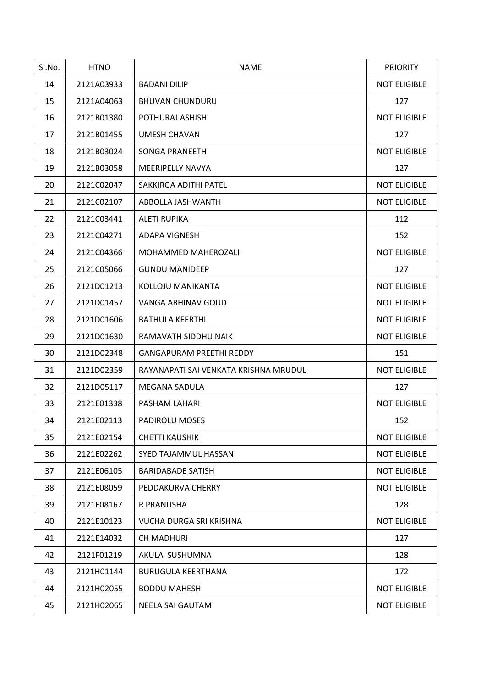| Sl.No. | <b>HTNO</b> | <b>NAME</b>                           | <b>PRIORITY</b>     |
|--------|-------------|---------------------------------------|---------------------|
| 14     | 2121A03933  | <b>BADANI DILIP</b>                   | <b>NOT ELIGIBLE</b> |
| 15     | 2121A04063  | <b>BHUVAN CHUNDURU</b>                | 127                 |
| 16     | 2121B01380  | POTHURAJ ASHISH                       | <b>NOT ELIGIBLE</b> |
| 17     | 2121B01455  | UMESH CHAVAN                          | 127                 |
| 18     | 2121B03024  | <b>SONGA PRANEETH</b>                 | <b>NOT ELIGIBLE</b> |
| 19     | 2121B03058  | <b>MEERIPELLY NAVYA</b>               | 127                 |
| 20     | 2121C02047  | SAKKIRGA ADITHI PATEL                 | <b>NOT ELIGIBLE</b> |
| 21     | 2121C02107  | ABBOLLA JASHWANTH                     | <b>NOT ELIGIBLE</b> |
| 22     | 2121C03441  | <b>ALETI RUPIKA</b>                   | 112                 |
| 23     | 2121C04271  | ADAPA VIGNESH                         | 152                 |
| 24     | 2121C04366  | MOHAMMED MAHEROZALI                   | <b>NOT ELIGIBLE</b> |
| 25     | 2121C05066  | <b>GUNDU MANIDEEP</b>                 | 127                 |
| 26     | 2121D01213  | KOLLOJU MANIKANTA                     | <b>NOT ELIGIBLE</b> |
| 27     | 2121D01457  | VANGA ABHINAV GOUD                    | <b>NOT ELIGIBLE</b> |
| 28     | 2121D01606  | <b>BATHULA KEERTHI</b>                | <b>NOT ELIGIBLE</b> |
| 29     | 2121D01630  | RAMAVATH SIDDHU NAIK                  | <b>NOT ELIGIBLE</b> |
| 30     | 2121D02348  | <b>GANGAPURAM PREETHI REDDY</b>       | 151                 |
| 31     | 2121D02359  | RAYANAPATI SAI VENKATA KRISHNA MRUDUL | <b>NOT ELIGIBLE</b> |
| 32     | 2121D05117  | MEGANA SADULA                         | 127                 |
| 33     | 2121E01338  | PASHAM LAHARI                         | <b>NOT ELIGIBLE</b> |
| 34     | 2121E02113  | <b>PADIROLU MOSES</b>                 | 152                 |
| 35     | 2121E02154  | <b>CHETTI KAUSHIK</b>                 | <b>NOT ELIGIBLE</b> |
| 36     | 2121E02262  | SYED TAJAMMUL HASSAN                  | <b>NOT ELIGIBLE</b> |
| 37     | 2121E06105  | <b>BARIDABADE SATISH</b>              | <b>NOT ELIGIBLE</b> |
| 38     | 2121E08059  | PEDDAKURVA CHERRY                     | <b>NOT ELIGIBLE</b> |
| 39     | 2121E08167  | R PRANUSHA                            | 128                 |
| 40     | 2121E10123  | VUCHA DURGA SRI KRISHNA               | <b>NOT ELIGIBLE</b> |
| 41     | 2121E14032  | <b>CH MADHURI</b>                     | 127                 |
| 42     | 2121F01219  | AKULA SUSHUMNA                        | 128                 |
| 43     | 2121H01144  | <b>BURUGULA KEERTHANA</b>             | 172                 |
| 44     | 2121H02055  | <b>BODDU MAHESH</b>                   | <b>NOT ELIGIBLE</b> |
| 45     | 2121H02065  | NEELA SAI GAUTAM                      | <b>NOT ELIGIBLE</b> |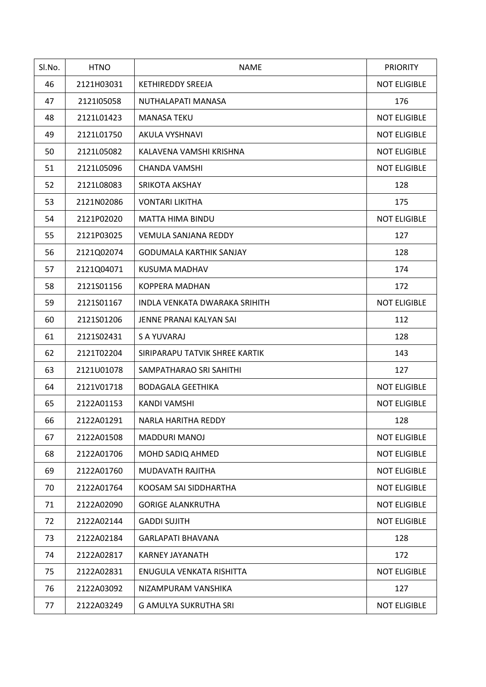| SI.No. | <b>HTNO</b> | <b>NAME</b>                    | <b>PRIORITY</b>     |
|--------|-------------|--------------------------------|---------------------|
| 46     | 2121H03031  | KETHIREDDY SREEJA              | <b>NOT ELIGIBLE</b> |
| 47     | 2121l05058  | NUTHALAPATI MANASA             | 176                 |
| 48     | 2121L01423  | <b>MANASA TEKU</b>             | <b>NOT ELIGIBLE</b> |
| 49     | 2121L01750  | AKULA VYSHNAVI                 | <b>NOT ELIGIBLE</b> |
| 50     | 2121L05082  | KALAVENA VAMSHI KRISHNA        | <b>NOT ELIGIBLE</b> |
| 51     | 2121L05096  | CHANDA VAMSHI                  | <b>NOT ELIGIBLE</b> |
| 52     | 2121L08083  | <b>SRIKOTA AKSHAY</b>          | 128                 |
| 53     | 2121N02086  | <b>VONTARI LIKITHA</b>         | 175                 |
| 54     | 2121P02020  | <b>MATTA HIMA BINDU</b>        | <b>NOT ELIGIBLE</b> |
| 55     | 2121P03025  | <b>VEMULA SANJANA REDDY</b>    | 127                 |
| 56     | 2121Q02074  | <b>GODUMALA KARTHIK SANJAY</b> | 128                 |
| 57     | 2121Q04071  | KUSUMA MADHAV                  | 174                 |
| 58     | 2121S01156  | <b>KOPPERA MADHAN</b>          | 172                 |
| 59     | 2121S01167  | INDLA VENKATA DWARAKA SRIHITH  | <b>NOT ELIGIBLE</b> |
| 60     | 2121S01206  | JENNE PRANAI KALYAN SAI        | 112                 |
| 61     | 2121S02431  | S A YUVARAJ                    | 128                 |
| 62     | 2121T02204  | SIRIPARAPU TATVIK SHREE KARTIK | 143                 |
| 63     | 2121U01078  | SAMPATHARAO SRI SAHITHI        | 127                 |
| 64     | 2121V01718  | <b>BODAGALA GEETHIKA</b>       | <b>NOT ELIGIBLE</b> |
| 65     | 2122A01153  | <b>KANDI VAMSHI</b>            | <b>NOT ELIGIBLE</b> |
| 66     | 2122A01291  | NARLA HARITHA REDDY            | 128                 |
| 67     | 2122A01508  | <b>MADDURI MANOJ</b>           | <b>NOT ELIGIBLE</b> |
| 68     | 2122A01706  | MOHD SADIQ AHMED               | <b>NOT ELIGIBLE</b> |
| 69     | 2122A01760  | MUDAVATH RAJITHA               | <b>NOT ELIGIBLE</b> |
| 70     | 2122A01764  | KOOSAM SAI SIDDHARTHA          | <b>NOT ELIGIBLE</b> |
| 71     | 2122A02090  | <b>GORIGE ALANKRUTHA</b>       | <b>NOT ELIGIBLE</b> |
| 72     | 2122A02144  | <b>GADDI SUJITH</b>            | <b>NOT ELIGIBLE</b> |
| 73     | 2122A02184  | <b>GARLAPATI BHAVANA</b>       | 128                 |
| 74     | 2122A02817  | KARNEY JAYANATH                | 172                 |
| 75     | 2122A02831  | ENUGULA VENKATA RISHITTA       | <b>NOT ELIGIBLE</b> |
| 76     | 2122A03092  | NIZAMPURAM VANSHIKA            | 127                 |
| 77     | 2122A03249  | G AMULYA SUKRUTHA SRI          | <b>NOT ELIGIBLE</b> |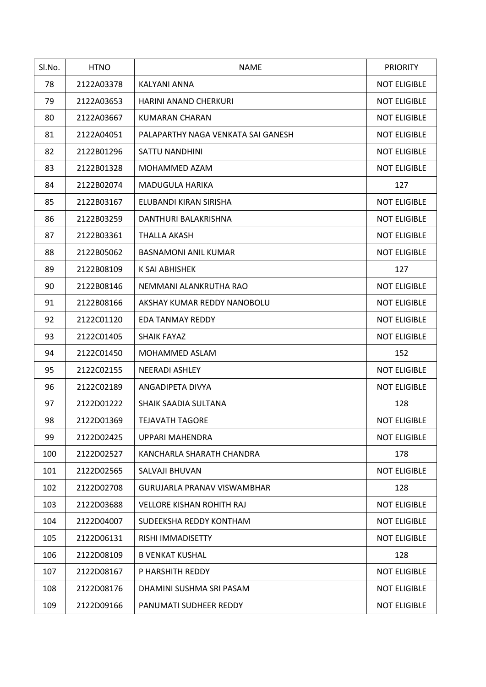| Sl.No. | <b>HTNO</b> | <b>NAME</b>                        | <b>PRIORITY</b>     |
|--------|-------------|------------------------------------|---------------------|
| 78     | 2122A03378  | <b>KALYANI ANNA</b>                | <b>NOT ELIGIBLE</b> |
| 79     | 2122A03653  | <b>HARINI ANAND CHERKURI</b>       | <b>NOT ELIGIBLE</b> |
| 80     | 2122A03667  | KUMARAN CHARAN                     | <b>NOT ELIGIBLE</b> |
| 81     | 2122A04051  | PALAPARTHY NAGA VENKATA SAI GANESH | <b>NOT ELIGIBLE</b> |
| 82     | 2122B01296  | SATTU NANDHINI                     | <b>NOT ELIGIBLE</b> |
| 83     | 2122B01328  | MOHAMMED AZAM                      | <b>NOT ELIGIBLE</b> |
| 84     | 2122B02074  | MADUGULA HARIKA                    | 127                 |
| 85     | 2122B03167  | ELUBANDI KIRAN SIRISHA             | <b>NOT ELIGIBLE</b> |
| 86     | 2122B03259  | DANTHURI BALAKRISHNA               | <b>NOT ELIGIBLE</b> |
| 87     | 2122B03361  | THALLA AKASH                       | <b>NOT ELIGIBLE</b> |
| 88     | 2122B05062  | <b>BASNAMONI ANIL KUMAR</b>        | <b>NOT ELIGIBLE</b> |
| 89     | 2122B08109  | K SAI ABHISHEK                     | 127                 |
| 90     | 2122B08146  | NEMMANI ALANKRUTHA RAO             | <b>NOT ELIGIBLE</b> |
| 91     | 2122B08166  | AKSHAY KUMAR REDDY NANOBOLU        | <b>NOT ELIGIBLE</b> |
| 92     | 2122C01120  | <b>EDA TANMAY REDDY</b>            | <b>NOT ELIGIBLE</b> |
| 93     | 2122C01405  | <b>SHAIK FAYAZ</b>                 | <b>NOT ELIGIBLE</b> |
| 94     | 2122C01450  | MOHAMMED ASLAM                     | 152                 |
| 95     | 2122C02155  | <b>NEERADI ASHLEY</b>              | <b>NOT ELIGIBLE</b> |
| 96     | 2122C02189  | ANGADIPETA DIVYA                   | <b>NOT ELIGIBLE</b> |
| 97     | 2122D01222  | SHAIK SAADIA SULTANA               | 128                 |
| 98     | 2122D01369  | <b>TEJAVATH TAGORE</b>             | <b>NOT ELIGIBLE</b> |
| 99     | 2122D02425  | UPPARI MAHENDRA                    | <b>NOT ELIGIBLE</b> |
| 100    | 2122D02527  | KANCHARLA SHARATH CHANDRA          | 178                 |
| 101    | 2122D02565  | SALVAJI BHUVAN                     | <b>NOT ELIGIBLE</b> |
| 102    | 2122D02708  | <b>GURUJARLA PRANAV VISWAMBHAR</b> | 128                 |
| 103    | 2122D03688  | <b>VELLORE KISHAN ROHITH RAJ</b>   | <b>NOT ELIGIBLE</b> |
| 104    | 2122D04007  | SUDEEKSHA REDDY KONTHAM            | <b>NOT ELIGIBLE</b> |
| 105    | 2122D06131  | RISHI IMMADISETTY                  | <b>NOT ELIGIBLE</b> |
| 106    | 2122D08109  | <b>B VENKAT KUSHAL</b>             | 128                 |
| 107    | 2122D08167  | P HARSHITH REDDY                   | <b>NOT ELIGIBLE</b> |
| 108    | 2122D08176  | DHAMINI SUSHMA SRI PASAM           | <b>NOT ELIGIBLE</b> |
| 109    | 2122D09166  | PANUMATI SUDHEER REDDY             | <b>NOT ELIGIBLE</b> |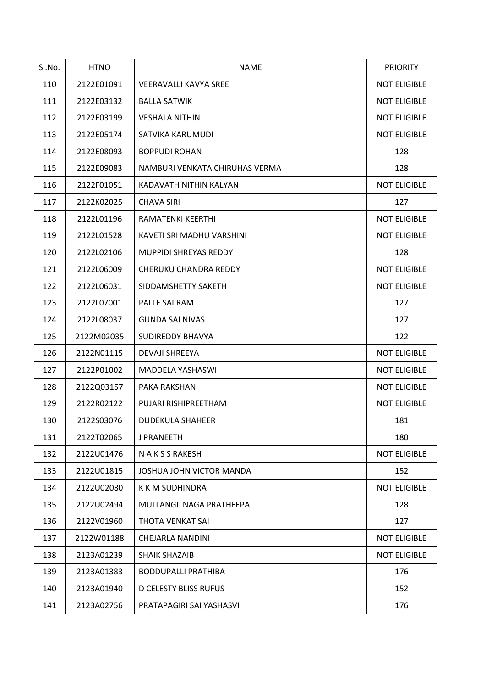| Sl.No. | <b>HTNO</b> | <b>NAME</b>                    | <b>PRIORITY</b>     |
|--------|-------------|--------------------------------|---------------------|
| 110    | 2122E01091  | <b>VEERAVALLI KAVYA SREE</b>   | <b>NOT ELIGIBLE</b> |
| 111    | 2122E03132  | <b>BALLA SATWIK</b>            | <b>NOT ELIGIBLE</b> |
| 112    | 2122E03199  | <b>VESHALA NITHIN</b>          | <b>NOT ELIGIBLE</b> |
| 113    | 2122E05174  | SATVIKA KARUMUDI               | <b>NOT ELIGIBLE</b> |
| 114    | 2122E08093  | <b>BOPPUDI ROHAN</b>           | 128                 |
| 115    | 2122E09083  | NAMBURI VENKATA CHIRUHAS VERMA | 128                 |
| 116    | 2122F01051  | KADAVATH NITHIN KALYAN         | <b>NOT ELIGIBLE</b> |
| 117    | 2122K02025  | <b>CHAVA SIRI</b>              | 127                 |
| 118    | 2122L01196  | <b>RAMATENKI KEERTHI</b>       | <b>NOT ELIGIBLE</b> |
| 119    | 2122L01528  | KAVETI SRI MADHU VARSHINI      | <b>NOT ELIGIBLE</b> |
| 120    | 2122L02106  | <b>MUPPIDI SHREYAS REDDY</b>   | 128                 |
| 121    | 2122L06009  | CHERUKU CHANDRA REDDY          | <b>NOT ELIGIBLE</b> |
| 122    | 2122L06031  | SIDDAMSHETTY SAKETH            | <b>NOT ELIGIBLE</b> |
| 123    | 2122L07001  | PALLE SAI RAM                  | 127                 |
| 124    | 2122L08037  | <b>GUNDA SAI NIVAS</b>         | 127                 |
| 125    | 2122M02035  | SUDIREDDY BHAVYA               | 122                 |
| 126    | 2122N01115  | DEVAJI SHREEYA                 | <b>NOT ELIGIBLE</b> |
| 127    | 2122P01002  | MADDELA YASHASWI               | <b>NOT ELIGIBLE</b> |
| 128    | 2122Q03157  | PAKA RAKSHAN                   | <b>NOT ELIGIBLE</b> |
| 129    | 2122R02122  | PUJARI RISHIPREETHAM           | <b>NOT ELIGIBLE</b> |
| 130    | 2122S03076  | <b>DUDEKULA SHAHEER</b>        | 181                 |
| 131    | 2122T02065  | J PRANEETH                     | 180                 |
| 132    | 2122U01476  | N A K S S RAKESH               | <b>NOT ELIGIBLE</b> |
| 133    | 2122U01815  | JOSHUA JOHN VICTOR MANDA       | 152                 |
| 134    | 2122U02080  | K K M SUDHINDRA                | <b>NOT ELIGIBLE</b> |
| 135    | 2122U02494  | MULLANGI NAGA PRATHEEPA        | 128                 |
| 136    | 2122V01960  | THOTA VENKAT SAI               | 127                 |
| 137    | 2122W01188  | CHEJARLA NANDINI               | <b>NOT ELIGIBLE</b> |
| 138    | 2123A01239  | <b>SHAIK SHAZAIB</b>           | <b>NOT ELIGIBLE</b> |
| 139    | 2123A01383  | <b>BODDUPALLI PRATHIBA</b>     | 176                 |
| 140    | 2123A01940  | <b>D CELESTY BLISS RUFUS</b>   | 152                 |
| 141    | 2123A02756  | PRATAPAGIRI SAI YASHASVI       | 176                 |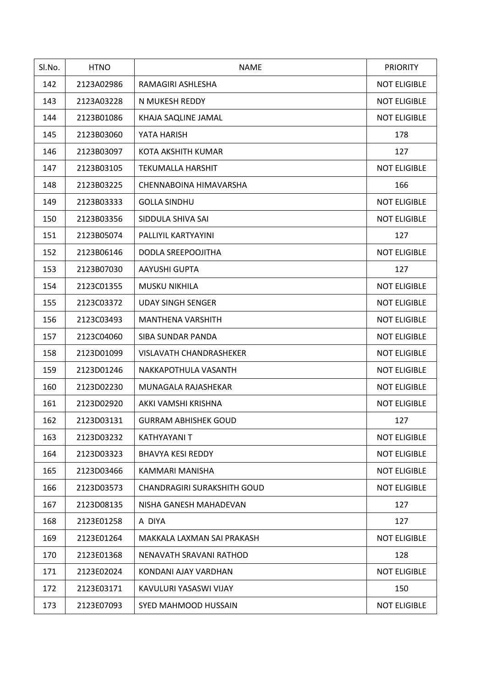| Sl.No. | <b>HTNO</b> | <b>NAME</b>                        | <b>PRIORITY</b>     |
|--------|-------------|------------------------------------|---------------------|
| 142    | 2123A02986  | RAMAGIRI ASHLESHA                  | <b>NOT ELIGIBLE</b> |
| 143    | 2123A03228  | N MUKESH REDDY                     | <b>NOT ELIGIBLE</b> |
| 144    | 2123B01086  | KHAJA SAQLINE JAMAL                | <b>NOT ELIGIBLE</b> |
| 145    | 2123B03060  | YATA HARISH                        | 178                 |
| 146    | 2123B03097  | KOTA AKSHITH KUMAR                 | 127                 |
| 147    | 2123B03105  | <b>TEKUMALLA HARSHIT</b>           | <b>NOT ELIGIBLE</b> |
| 148    | 2123B03225  | CHENNABOINA HIMAVARSHA             | 166                 |
| 149    | 2123B03333  | <b>GOLLA SINDHU</b>                | <b>NOT ELIGIBLE</b> |
| 150    | 2123B03356  | SIDDULA SHIVA SAI                  | <b>NOT ELIGIBLE</b> |
| 151    | 2123B05074  | PALLIYIL KARTYAYINI                | 127                 |
| 152    | 2123B06146  | DODLA SREEPOOJITHA                 | <b>NOT ELIGIBLE</b> |
| 153    | 2123B07030  | AAYUSHI GUPTA                      | 127                 |
| 154    | 2123C01355  | <b>MUSKU NIKHILA</b>               | <b>NOT ELIGIBLE</b> |
| 155    | 2123C03372  | <b>UDAY SINGH SENGER</b>           | <b>NOT ELIGIBLE</b> |
| 156    | 2123C03493  | <b>MANTHENA VARSHITH</b>           | <b>NOT ELIGIBLE</b> |
| 157    | 2123C04060  | SIBA SUNDAR PANDA                  | <b>NOT ELIGIBLE</b> |
| 158    | 2123D01099  | <b>VISLAVATH CHANDRASHEKER</b>     | <b>NOT ELIGIBLE</b> |
| 159    | 2123D01246  | NAKKAPOTHULA VASANTH               | <b>NOT ELIGIBLE</b> |
| 160    | 2123D02230  | MUNAGALA RAJASHEKAR                | <b>NOT ELIGIBLE</b> |
| 161    | 2123D02920  | AKKI VAMSHI KRISHNA                | <b>NOT ELIGIBLE</b> |
| 162    | 2123D03131  | <b>GURRAM ABHISHEK GOUD</b>        | 127                 |
| 163    | 2123D03232  | KATHYAYANI T                       | <b>NOT ELIGIBLE</b> |
| 164    | 2123D03323  | <b>BHAVYA KESI REDDY</b>           | <b>NOT ELIGIBLE</b> |
| 165    | 2123D03466  | KAMMARI MANISHA                    | <b>NOT ELIGIBLE</b> |
| 166    | 2123D03573  | <b>CHANDRAGIRI SURAKSHITH GOUD</b> | <b>NOT ELIGIBLE</b> |
| 167    | 2123D08135  | NISHA GANESH MAHADEVAN             | 127                 |
| 168    | 2123E01258  | A DIYA                             | 127                 |
| 169    | 2123E01264  | MAKKALA LAXMAN SAI PRAKASH         | <b>NOT ELIGIBLE</b> |
| 170    | 2123E01368  | NENAVATH SRAVANI RATHOD            | 128                 |
| 171    | 2123E02024  | KONDANI AJAY VARDHAN               | <b>NOT ELIGIBLE</b> |
| 172    | 2123E03171  | KAVULURI YASASWI VIJAY             | 150                 |
| 173    | 2123E07093  | SYED MAHMOOD HUSSAIN               | <b>NOT ELIGIBLE</b> |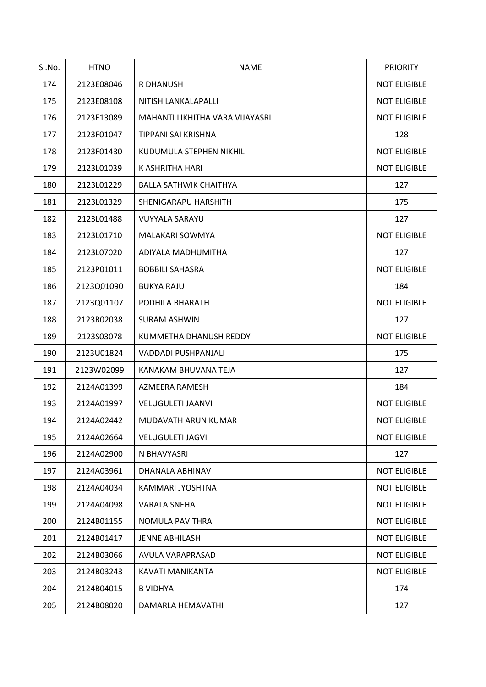| Sl.No. | <b>HTNO</b> | <b>NAME</b>                     | <b>PRIORITY</b>     |
|--------|-------------|---------------------------------|---------------------|
| 174    | 2123E08046  | R DHANUSH                       | <b>NOT ELIGIBLE</b> |
| 175    | 2123E08108  | NITISH LANKALAPALLI             | <b>NOT ELIGIBLE</b> |
| 176    | 2123E13089  | MAHANTI LIKHITHA VARA VIJAYASRI | <b>NOT ELIGIBLE</b> |
| 177    | 2123F01047  | TIPPANI SAI KRISHNA             | 128                 |
| 178    | 2123F01430  | KUDUMULA STEPHEN NIKHIL         | <b>NOT ELIGIBLE</b> |
| 179    | 2123L01039  | K ASHRITHA HARI                 | <b>NOT ELIGIBLE</b> |
| 180    | 2123L01229  | <b>BALLA SATHWIK CHAITHYA</b>   | 127                 |
| 181    | 2123L01329  | SHENIGARAPU HARSHITH            | 175                 |
| 182    | 2123L01488  | <b>VUYYALA SARAYU</b>           | 127                 |
| 183    | 2123L01710  | MALAKARI SOWMYA                 | <b>NOT ELIGIBLE</b> |
| 184    | 2123L07020  | ADIYALA MADHUMITHA              | 127                 |
| 185    | 2123P01011  | <b>BOBBILI SAHASRA</b>          | <b>NOT ELIGIBLE</b> |
| 186    | 2123Q01090  | <b>BUKYA RAJU</b>               | 184                 |
| 187    | 2123Q01107  | PODHILA BHARATH                 | <b>NOT ELIGIBLE</b> |
| 188    | 2123R02038  | <b>SURAM ASHWIN</b>             | 127                 |
| 189    | 2123S03078  | KUMMETHA DHANUSH REDDY          | <b>NOT ELIGIBLE</b> |
| 190    | 2123U01824  | VADDADI PUSHPANJALI             | 175                 |
| 191    | 2123W02099  | KANAKAM BHUVANA TEJA            | 127                 |
| 192    | 2124A01399  | AZMEERA RAMESH                  | 184                 |
| 193    | 2124A01997  | <b>VELUGULETI JAANVI</b>        | <b>NOT ELIGIBLE</b> |
| 194    | 2124A02442  | MUDAVATH ARUN KUMAR             | <b>NOT ELIGIBLE</b> |
| 195    | 2124A02664  | <b>VELUGULETI JAGVI</b>         | <b>NOT ELIGIBLE</b> |
| 196    | 2124A02900  | N BHAVYASRI                     | 127                 |
| 197    | 2124A03961  | DHANALA ABHINAV                 | <b>NOT ELIGIBLE</b> |
| 198    | 2124A04034  | KAMMARI JYOSHTNA                | <b>NOT ELIGIBLE</b> |
| 199    | 2124A04098  | VARALA SNEHA                    | <b>NOT ELIGIBLE</b> |
| 200    | 2124B01155  | NOMULA PAVITHRA                 | <b>NOT ELIGIBLE</b> |
| 201    | 2124B01417  | <b>JENNE ABHILASH</b>           | <b>NOT ELIGIBLE</b> |
| 202    | 2124B03066  | AVULA VARAPRASAD                | <b>NOT ELIGIBLE</b> |
| 203    | 2124B03243  | KAVATI MANIKANTA                | <b>NOT ELIGIBLE</b> |
| 204    | 2124B04015  | <b>B VIDHYA</b>                 | 174                 |
| 205    | 2124B08020  | DAMARLA HEMAVATHI               | 127                 |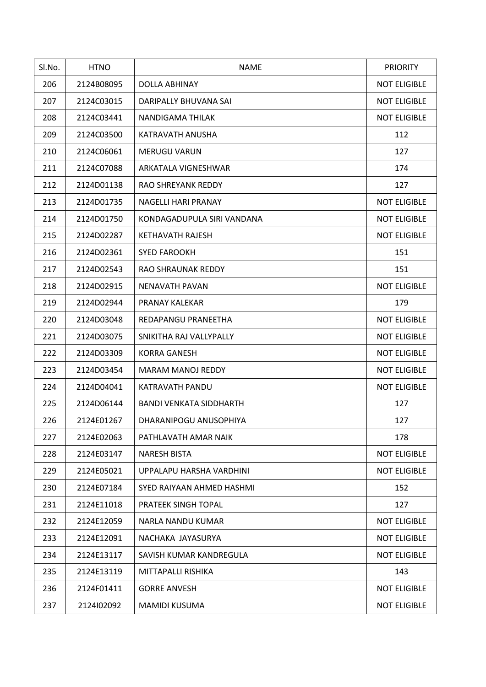| Sl.No. | <b>HTNO</b> | <b>NAME</b>                    | <b>PRIORITY</b>     |
|--------|-------------|--------------------------------|---------------------|
| 206    | 2124B08095  | DOLLA ABHINAY                  | <b>NOT ELIGIBLE</b> |
| 207    | 2124C03015  | DARIPALLY BHUVANA SAI          | <b>NOT ELIGIBLE</b> |
| 208    | 2124C03441  | NANDIGAMA THILAK               | <b>NOT ELIGIBLE</b> |
| 209    | 2124C03500  | KATRAVATH ANUSHA               | 112                 |
| 210    | 2124C06061  | <b>MERUGU VARUN</b>            | 127                 |
| 211    | 2124C07088  | ARKATALA VIGNESHWAR            | 174                 |
| 212    | 2124D01138  | RAO SHREYANK REDDY             | 127                 |
| 213    | 2124D01735  | NAGELLI HARI PRANAY            | <b>NOT ELIGIBLE</b> |
| 214    | 2124D01750  | KONDAGADUPULA SIRI VANDANA     | <b>NOT ELIGIBLE</b> |
| 215    | 2124D02287  | KETHAVATH RAJESH               | <b>NOT ELIGIBLE</b> |
| 216    | 2124D02361  | <b>SYED FAROOKH</b>            | 151                 |
| 217    | 2124D02543  | RAO SHRAUNAK REDDY             | 151                 |
| 218    | 2124D02915  | NENAVATH PAVAN                 | <b>NOT ELIGIBLE</b> |
| 219    | 2124D02944  | PRANAY KALEKAR                 | 179                 |
| 220    | 2124D03048  | REDAPANGU PRANEETHA            | <b>NOT ELIGIBLE</b> |
| 221    | 2124D03075  | SNIKITHA RAJ VALLYPALLY        | <b>NOT ELIGIBLE</b> |
| 222    | 2124D03309  | <b>KORRA GANESH</b>            | <b>NOT ELIGIBLE</b> |
| 223    | 2124D03454  | <b>MARAM MANOJ REDDY</b>       | <b>NOT ELIGIBLE</b> |
| 224    | 2124D04041  | KATRAVATH PANDU                | <b>NOT ELIGIBLE</b> |
| 225    | 2124D06144  | <b>BANDI VENKATA SIDDHARTH</b> | 127                 |
| 226    | 2124E01267  | DHARANIPOGU ANUSOPHIYA         | 127                 |
| 227    | 2124E02063  | PATHLAVATH AMAR NAIK           | 178                 |
| 228    | 2124E03147  | <b>NARESH BISTA</b>            | <b>NOT ELIGIBLE</b> |
| 229    | 2124E05021  | UPPALAPU HARSHA VARDHINI       | <b>NOT ELIGIBLE</b> |
| 230    | 2124E07184  | SYED RAIYAAN AHMED HASHMI      | 152                 |
| 231    | 2124E11018  | PRATEEK SINGH TOPAL            | 127                 |
| 232    | 2124E12059  | NARLA NANDU KUMAR              | <b>NOT ELIGIBLE</b> |
| 233    | 2124E12091  | NACHAKA JAYASURYA              | <b>NOT ELIGIBLE</b> |
| 234    | 2124E13117  | SAVISH KUMAR KANDREGULA        | <b>NOT ELIGIBLE</b> |
| 235    | 2124E13119  | MITTAPALLI RISHIKA             | 143                 |
| 236    | 2124F01411  | <b>GORRE ANVESH</b>            | <b>NOT ELIGIBLE</b> |
| 237    | 2124102092  | <b>MAMIDI KUSUMA</b>           | <b>NOT ELIGIBLE</b> |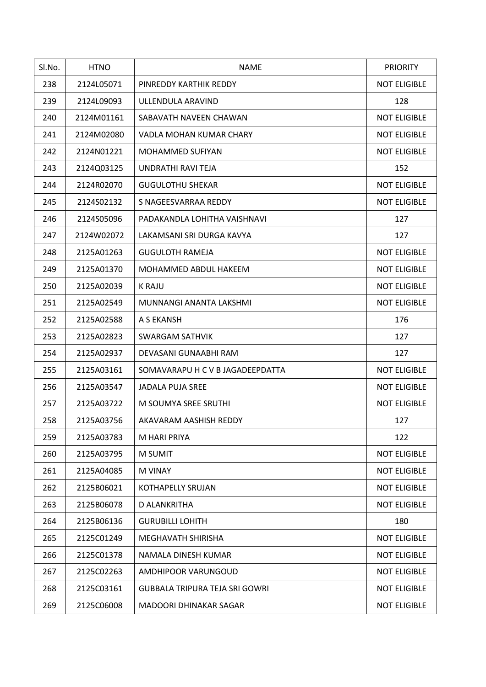| Sl.No. | <b>HTNO</b> | <b>NAME</b>                      | <b>PRIORITY</b>     |
|--------|-------------|----------------------------------|---------------------|
| 238    | 2124L05071  | PINREDDY KARTHIK REDDY           | <b>NOT ELIGIBLE</b> |
| 239    | 2124L09093  | ULLENDULA ARAVIND                | 128                 |
| 240    | 2124M01161  | SABAVATH NAVEEN CHAWAN           | <b>NOT ELIGIBLE</b> |
| 241    | 2124M02080  | VADLA MOHAN KUMAR CHARY          | <b>NOT ELIGIBLE</b> |
| 242    | 2124N01221  | <b>MOHAMMED SUFIYAN</b>          | <b>NOT ELIGIBLE</b> |
| 243    | 2124Q03125  | UNDRATHI RAVI TEJA               | 152                 |
| 244    | 2124R02070  | <b>GUGULOTHU SHEKAR</b>          | <b>NOT ELIGIBLE</b> |
| 245    | 2124S02132  | S NAGEESVARRAA REDDY             | <b>NOT ELIGIBLE</b> |
| 246    | 2124S05096  | PADAKANDLA LOHITHA VAISHNAVI     | 127                 |
| 247    | 2124W02072  | LAKAMSANI SRI DURGA KAVYA        | 127                 |
| 248    | 2125A01263  | <b>GUGULOTH RAMEJA</b>           | <b>NOT ELIGIBLE</b> |
| 249    | 2125A01370  | MOHAMMED ABDUL HAKEEM            | <b>NOT ELIGIBLE</b> |
| 250    | 2125A02039  | <b>K RAJU</b>                    | <b>NOT ELIGIBLE</b> |
| 251    | 2125A02549  | MUNNANGI ANANTA LAKSHMI          | <b>NOT ELIGIBLE</b> |
| 252    | 2125A02588  | A S EKANSH                       | 176                 |
| 253    | 2125A02823  | <b>SWARGAM SATHVIK</b>           | 127                 |
| 254    | 2125A02937  | DEVASANI GUNAABHI RAM            | 127                 |
| 255    | 2125A03161  | SOMAVARAPU H C V B JAGADEEPDATTA | <b>NOT ELIGIBLE</b> |
| 256    | 2125A03547  | JADALA PUJA SREE                 | <b>NOT ELIGIBLE</b> |
| 257    | 2125A03722  | M SOUMYA SREE SRUTHI             | <b>NOT ELIGIBLE</b> |
| 258    | 2125A03756  | AKAVARAM AASHISH REDDY           | 127                 |
| 259    | 2125A03783  | M HARI PRIYA                     | 122                 |
| 260    | 2125A03795  | M SUMIT                          | <b>NOT ELIGIBLE</b> |
| 261    | 2125A04085  | M VINAY                          | <b>NOT ELIGIBLE</b> |
| 262    | 2125B06021  | KOTHAPELLY SRUJAN                | <b>NOT ELIGIBLE</b> |
| 263    | 2125B06078  | D ALANKRITHA                     | <b>NOT ELIGIBLE</b> |
| 264    | 2125B06136  | <b>GURUBILLI LOHITH</b>          | 180                 |
| 265    | 2125C01249  | MEGHAVATH SHIRISHA               | <b>NOT ELIGIBLE</b> |
| 266    | 2125C01378  | NAMALA DINESH KUMAR              | <b>NOT ELIGIBLE</b> |
| 267    | 2125C02263  | AMDHIPOOR VARUNGOUD              | <b>NOT ELIGIBLE</b> |
| 268    | 2125C03161  | GUBBALA TRIPURA TEJA SRI GOWRI   | <b>NOT ELIGIBLE</b> |
| 269    | 2125C06008  | MADOORI DHINAKAR SAGAR           | <b>NOT ELIGIBLE</b> |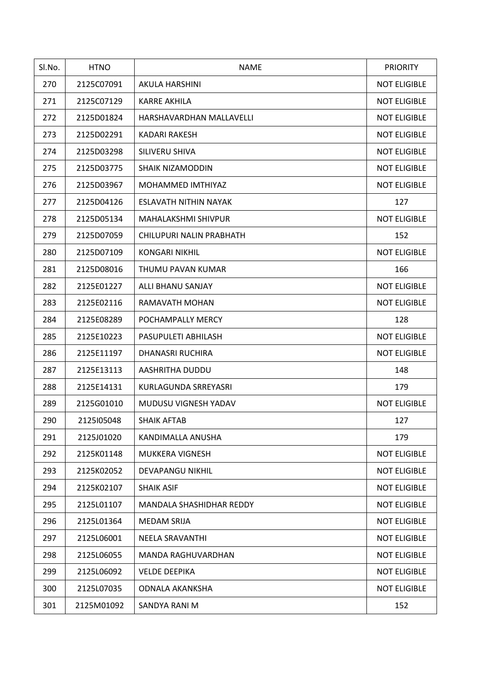| Sl.No. | <b>HTNO</b> | <b>NAME</b>                | <b>PRIORITY</b>     |
|--------|-------------|----------------------------|---------------------|
| 270    | 2125C07091  | AKULA HARSHINI             | <b>NOT ELIGIBLE</b> |
| 271    | 2125C07129  | <b>KARRE AKHILA</b>        | <b>NOT ELIGIBLE</b> |
| 272    | 2125D01824  | HARSHAVARDHAN MALLAVELLI   | <b>NOT ELIGIBLE</b> |
| 273    | 2125D02291  | <b>KADARI RAKESH</b>       | <b>NOT ELIGIBLE</b> |
| 274    | 2125D03298  | SILIVERU SHIVA             | <b>NOT ELIGIBLE</b> |
| 275    | 2125D03775  | <b>SHAIK NIZAMODDIN</b>    | <b>NOT ELIGIBLE</b> |
| 276    | 2125D03967  | MOHAMMED IMTHIYAZ          | <b>NOT ELIGIBLE</b> |
| 277    | 2125D04126  | ESLAVATH NITHIN NAYAK      | 127                 |
| 278    | 2125D05134  | <b>MAHALAKSHMI SHIVPUR</b> | <b>NOT ELIGIBLE</b> |
| 279    | 2125D07059  | CHILUPURI NALIN PRABHATH   | 152                 |
| 280    | 2125D07109  | <b>KONGARI NIKHIL</b>      | <b>NOT ELIGIBLE</b> |
| 281    | 2125D08016  | THUMU PAVAN KUMAR          | 166                 |
| 282    | 2125E01227  | ALLI BHANU SANJAY          | <b>NOT ELIGIBLE</b> |
| 283    | 2125E02116  | RAMAVATH MOHAN             | <b>NOT ELIGIBLE</b> |
| 284    | 2125E08289  | POCHAMPALLY MERCY          | 128                 |
| 285    | 2125E10223  | PASUPULETI ABHILASH        | <b>NOT ELIGIBLE</b> |
| 286    | 2125E11197  | <b>DHANASRI RUCHIRA</b>    | <b>NOT ELIGIBLE</b> |
| 287    | 2125E13113  | AASHRITHA DUDDU            | 148                 |
| 288    | 2125E14131  | KURLAGUNDA SRREYASRI       | 179                 |
| 289    | 2125G01010  | MUDUSU VIGNESH YADAV       | <b>NOT ELIGIBLE</b> |
| 290    | 2125105048  | <b>SHAIK AFTAB</b>         | 127                 |
| 291    | 2125J01020  | KANDIMALLA ANUSHA          | 179                 |
| 292    | 2125K01148  | <b>MUKKERA VIGNESH</b>     | <b>NOT ELIGIBLE</b> |
| 293    | 2125K02052  | DEVAPANGU NIKHIL           | <b>NOT ELIGIBLE</b> |
| 294    | 2125K02107  | <b>SHAIK ASIF</b>          | <b>NOT ELIGIBLE</b> |
| 295    | 2125L01107  | MANDALA SHASHIDHAR REDDY   | <b>NOT ELIGIBLE</b> |
| 296    | 2125L01364  | <b>MEDAM SRIJA</b>         | <b>NOT ELIGIBLE</b> |
| 297    | 2125L06001  | NEELA SRAVANTHI            | <b>NOT ELIGIBLE</b> |
| 298    | 2125L06055  | MANDA RAGHUVARDHAN         | <b>NOT ELIGIBLE</b> |
| 299    | 2125L06092  | <b>VELDE DEEPIKA</b>       | <b>NOT ELIGIBLE</b> |
| 300    | 2125L07035  | <b>ODNALA AKANKSHA</b>     | <b>NOT ELIGIBLE</b> |
| 301    | 2125M01092  | SANDYA RANI M              | 152                 |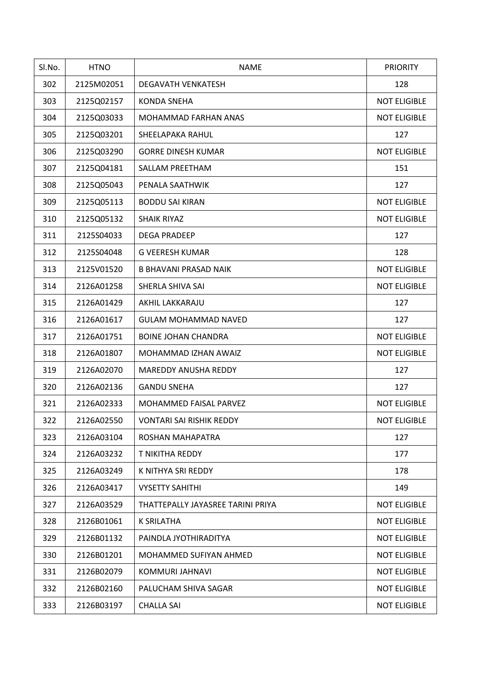| Sl.No. | <b>HTNO</b> | <b>NAME</b>                       | <b>PRIORITY</b>     |
|--------|-------------|-----------------------------------|---------------------|
| 302    | 2125M02051  | <b>DEGAVATH VENKATESH</b>         | 128                 |
| 303    | 2125Q02157  | <b>KONDA SNEHA</b>                | <b>NOT ELIGIBLE</b> |
| 304    | 2125Q03033  | MOHAMMAD FARHAN ANAS              | <b>NOT ELIGIBLE</b> |
| 305    | 2125Q03201  | SHEELAPAKA RAHUL                  | 127                 |
| 306    | 2125Q03290  | <b>GORRE DINESH KUMAR</b>         | <b>NOT ELIGIBLE</b> |
| 307    | 2125Q04181  | SALLAM PREETHAM                   | 151                 |
| 308    | 2125Q05043  | PENALA SAATHWIK                   | 127                 |
| 309    | 2125Q05113  | <b>BODDU SAI KIRAN</b>            | <b>NOT ELIGIBLE</b> |
| 310    | 2125Q05132  | <b>SHAIK RIYAZ</b>                | <b>NOT ELIGIBLE</b> |
| 311    | 2125S04033  | <b>DEGA PRADEEP</b>               | 127                 |
| 312    | 2125S04048  | <b>G VEERESH KUMAR</b>            | 128                 |
| 313    | 2125V01520  | <b>B BHAVANI PRASAD NAIK</b>      | <b>NOT ELIGIBLE</b> |
| 314    | 2126A01258  | SHERLA SHIVA SAI                  | <b>NOT ELIGIBLE</b> |
| 315    | 2126A01429  | AKHIL LAKKARAJU                   | 127                 |
| 316    | 2126A01617  | <b>GULAM MOHAMMAD NAVED</b>       | 127                 |
| 317    | 2126A01751  | <b>BOINE JOHAN CHANDRA</b>        | <b>NOT ELIGIBLE</b> |
| 318    | 2126A01807  | MOHAMMAD IZHAN AWAIZ              | <b>NOT ELIGIBLE</b> |
| 319    | 2126A02070  | MAREDDY ANUSHA REDDY              | 127                 |
| 320    | 2126A02136  | <b>GANDU SNEHA</b>                | 127                 |
| 321    | 2126A02333  | MOHAMMED FAISAL PARVEZ            | <b>NOT ELIGIBLE</b> |
| 322    | 2126A02550  | <b>VONTARI SAI RISHIK REDDY</b>   | <b>NOT ELIGIBLE</b> |
| 323    | 2126A03104  | ROSHAN MAHAPATRA                  | 127                 |
| 324    | 2126A03232  | T NIKITHA REDDY                   | 177                 |
| 325    | 2126A03249  | K NITHYA SRI REDDY                | 178                 |
| 326    | 2126A03417  | <b>VYSETTY SAHITHI</b>            | 149                 |
| 327    | 2126A03529  | THATTEPALLY JAYASREE TARINI PRIYA | <b>NOT ELIGIBLE</b> |
| 328    | 2126B01061  | <b>K SRILATHA</b>                 | <b>NOT ELIGIBLE</b> |
| 329    | 2126B01132  | PAINDLA JYOTHIRADITYA             | <b>NOT ELIGIBLE</b> |
| 330    | 2126B01201  | MOHAMMED SUFIYAN AHMED            | <b>NOT ELIGIBLE</b> |
| 331    | 2126B02079  | KOMMURI JAHNAVI                   | <b>NOT ELIGIBLE</b> |
| 332    | 2126B02160  | PALUCHAM SHIVA SAGAR              | <b>NOT ELIGIBLE</b> |
| 333    | 2126B03197  | <b>CHALLA SAI</b>                 | <b>NOT ELIGIBLE</b> |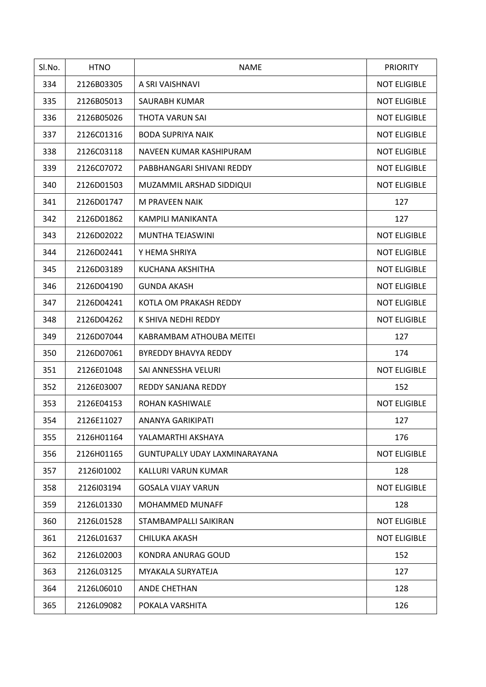| Sl.No. | <b>HTNO</b> | <b>NAME</b>                   | <b>PRIORITY</b>     |
|--------|-------------|-------------------------------|---------------------|
| 334    | 2126B03305  | A SRI VAISHNAVI               | <b>NOT ELIGIBLE</b> |
| 335    | 2126B05013  | SAURABH KUMAR                 | <b>NOT ELIGIBLE</b> |
| 336    | 2126B05026  | THOTA VARUN SAI               | <b>NOT ELIGIBLE</b> |
| 337    | 2126C01316  | <b>BODA SUPRIYA NAIK</b>      | <b>NOT ELIGIBLE</b> |
| 338    | 2126C03118  | NAVEEN KUMAR KASHIPURAM       | <b>NOT ELIGIBLE</b> |
| 339    | 2126C07072  | PABBHANGARI SHIVANI REDDY     | <b>NOT ELIGIBLE</b> |
| 340    | 2126D01503  | MUZAMMIL ARSHAD SIDDIQUI      | <b>NOT ELIGIBLE</b> |
| 341    | 2126D01747  | M PRAVEEN NAIK                | 127                 |
| 342    | 2126D01862  | KAMPILI MANIKANTA             | 127                 |
| 343    | 2126D02022  | MUNTHA TEJASWINI              | <b>NOT ELIGIBLE</b> |
| 344    | 2126D02441  | Y HEMA SHRIYA                 | <b>NOT ELIGIBLE</b> |
| 345    | 2126D03189  | KUCHANA AKSHITHA              | <b>NOT ELIGIBLE</b> |
| 346    | 2126D04190  | <b>GUNDA AKASH</b>            | <b>NOT ELIGIBLE</b> |
| 347    | 2126D04241  | KOTLA OM PRAKASH REDDY        | <b>NOT ELIGIBLE</b> |
| 348    | 2126D04262  | K SHIVA NEDHI REDDY           | <b>NOT ELIGIBLE</b> |
| 349    | 2126D07044  | KABRAMBAM ATHOUBA MEITEI      | 127                 |
| 350    | 2126D07061  | BYREDDY BHAVYA REDDY          | 174                 |
| 351    | 2126E01048  | SAI ANNESSHA VELURI           | <b>NOT ELIGIBLE</b> |
| 352    | 2126E03007  | REDDY SANJANA REDDY           | 152                 |
| 353    | 2126E04153  | ROHAN KASHIWALE               | <b>NOT ELIGIBLE</b> |
| 354    | 2126E11027  | ANANYA GARIKIPATI             | 127                 |
| 355    | 2126H01164  | YALAMARTHI AKSHAYA            | 176                 |
| 356    | 2126H01165  | GUNTUPALLY UDAY LAXMINARAYANA | <b>NOT ELIGIBLE</b> |
| 357    | 2126l01002  | KALLURI VARUN KUMAR           | 128                 |
| 358    | 2126l03194  | <b>GOSALA VIJAY VARUN</b>     | <b>NOT ELIGIBLE</b> |
| 359    | 2126L01330  | MOHAMMED MUNAFF               | 128                 |
| 360    | 2126L01528  | STAMBAMPALLI SAIKIRAN         | <b>NOT ELIGIBLE</b> |
| 361    | 2126L01637  | CHILUKA AKASH                 | <b>NOT ELIGIBLE</b> |
| 362    | 2126L02003  | KONDRA ANURAG GOUD            | 152                 |
| 363    | 2126L03125  | MYAKALA SURYATEJA             | 127                 |
| 364    | 2126L06010  | ANDE CHETHAN                  | 128                 |
| 365    | 2126L09082  | POKALA VARSHITA               | 126                 |